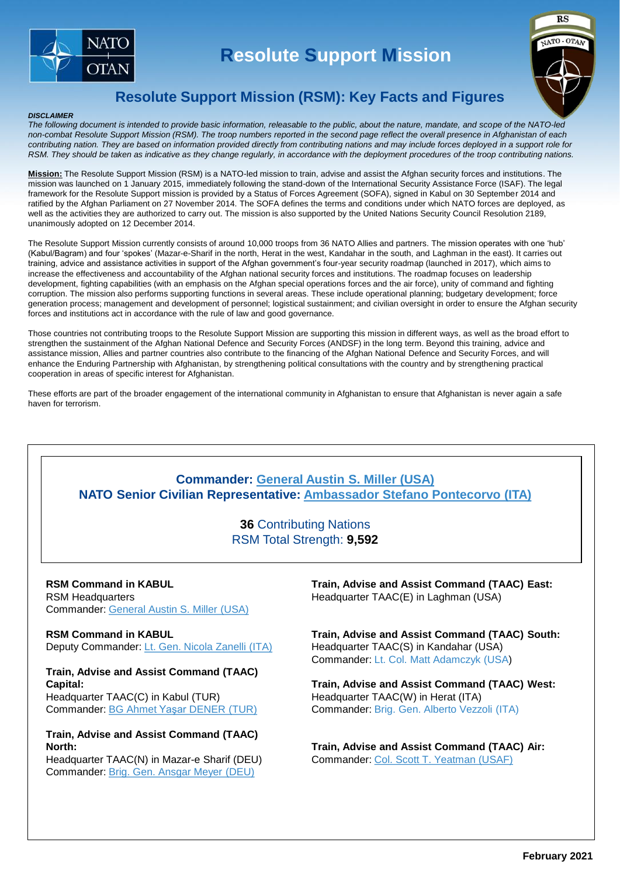

## **Resolute Support Mission**



### **Resolute Support Mission (RSM): Key Facts and Figures**

#### *DISCLAIMER*

*The following document is intended to provide basic information, releasable to the public, about the nature, mandate, and scope of the NATO-led non-combat Resolute Support Mission (RSM). The troop numbers reported in the second page reflect the overall presence in Afghanistan of each contributing nation. They are based on information provided directly from contributing nations and may include forces deployed in a support role for RSM. They should be taken as indicative as they change regularly, in accordance with the deployment procedures of the troop contributing nations.*

**Mission:** The Resolute Support Mission (RSM) is a NATO-led mission to train, advise and assist the Afghan security forces and institutions. The mission was launched on 1 January 2015, immediately following the stand-down of the International Security Assistance Force (ISAF). The legal framework for the Resolute Support mission is provided by a Status of Forces Agreement (SOFA), signed in Kabul on 30 September 2014 and ratified by the Afghan Parliament on 27 November 2014. The SOFA defines the terms and conditions under which NATO forces are deployed, as well as the activities they are authorized to carry out. The mission is also supported by the United Nations Security Council Resolution 2189, unanimously adopted on 12 December 2014.

The Resolute Support Mission currently consists of around 10,000 troops from 36 NATO Allies and partners. The mission operates with one 'hub' (Kabul/Bagram) and four 'spokes' (Mazar-e-Sharif in the north, Herat in the west, Kandahar in the south, and Laghman in the east). It carries out training, advice and assistance activities in support of the Afghan government's four-year security roadmap (launched in 2017), which aims to increase the effectiveness and accountability of the Afghan national security forces and institutions. The roadmap focuses on leadership development, fighting capabilities (with an emphasis on the Afghan special operations forces and the air force), unity of command and fighting corruption. The mission also performs supporting functions in several areas. These include operational planning; budgetary development; force generation process; management and development of personnel; logistical sustainment; and civilian oversight in order to ensure the Afghan security forces and institutions act in accordance with the rule of law and good governance.

Those countries not contributing troops to the Resolute Support Mission are supporting this mission in different ways, as well as the broad effort to strengthen the sustainment of the Afghan National Defence and Security Forces (ANDSF) in the long term. Beyond this training, advice and assistance mission, Allies and partner countries also contribute to the financing of the Afghan National Defence and Security Forces, and will enhance the Enduring Partnership with Afghanistan, by strengthening political consultations with the country and by strengthening practical cooperation in areas of specific interest for Afghanistan.

These efforts are part of the broader engagement of the international community in Afghanistan to ensure that Afghanistan is never again a safe haven for terrorism.

### **Commander: [General Austin S. Miller \(USA\)](https://rs.nato.int/rsm/about-us/leadership/commander) NATO Senior Civilian Representative: [Ambassador Stefano Pontecorvo](https://rs.nato.int/rsm/about-us/leadership/senior-civilian-representative) (ITA)**

**36** Contributing Nations RSM Total Strength: **9,592**

**RSM Command in KABUL** RSM Headquarters Commander: [General Austin S. Miller \(USA\)](https://rs.nato.int/rsm/about-us/leadership/commander)

**RSM Command in KABUL** Deputy Commander: [Lt. Gen. Nicola Zanelli \(ITA\)](https://rs.nato.int/rsm/about-us/leadership/deputy-commander)

**Train, Advise and Assist Command (TAAC) Capital:** 

Headquarter TAAC(C) in Kabul (TUR) Commander: [BG Ahmet Yaşar](https://rs.nato.int/rsm/about-us/resolute-support-commands/train-advise-assist-command-capital) DENER (TUR)

#### **Train, Advise and Assist Command (TAAC) North:**

Headquarter TAAC(N) in Mazar-e Sharif (DEU) Commander: [Brig. Gen.](https://rs.nato.int/rsm/about-us/resolute-support-commands/train-advise-assist-command-north) Ansgar Meyer (DEU)

**Train, Advise and Assist Command (TAAC) East:** Headquarter TAAC(E) in Laghman (USA)

**Train, Advise and Assist Command (TAAC) South:** Headquarter TAAC(S) in Kandahar (USA) Commander: Lt. Col. Matt Adamczyk (USA)

**Train, Advise and Assist Command (TAAC) West:** Headquarter TAAC(W) in Herat (ITA) Commander: Brig. Gen. Alberto Vezzoli (ITA)

**Train, Advise and Assist Command (TAAC) Air:** Commander: [Col. Scott T. Yeatman](https://rs.nato.int/rsm/about-us/resolute-support-commands/train-advise-assist-command-air) (USAF)